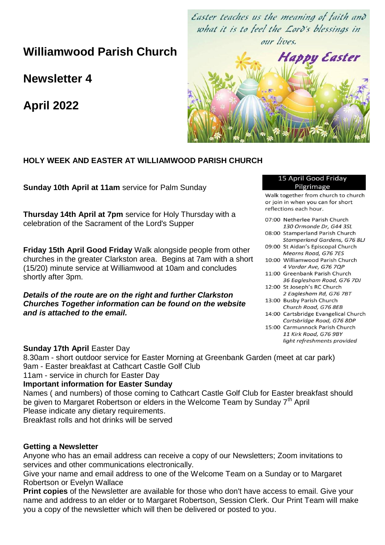**Williamwood Parish Church**

**Newsletter 4**

**April 2022**

Easter teaches us the meaning of faith and what it is to feel the Lord's blessings in our lives.



## **HOLY WEEK AND EASTER AT WILLIAMWOOD PARISH CHURCH**

**Sunday 10th April at 11am** service for Palm Sunday

**Thursday 14th April at 7pm** service for Holy Thursday with a celebration of the Sacrament of the Lord's Supper

**Friday 15th April Good Friday** Walk alongside people from other churches in the greater Clarkston area. Begins at 7am with a short (15/20) minute service at Williamwood at 10am and concludes shortly after 3pm.

*Details of the route are on the right and further Clarkston Churches Together information can be found on the website and is attached to the email.* 

#### 15 April Good Friday Pilgrimage

Walk together from church to church or join in when you can for short reflections each hour.

07:00 Netherlee Parish Church 130 Ormonde Dr, G44 3SL 08:00 Stamperland Parish Church Stamperland Gardens, G76 8LJ 09:00 St Aidan's Episcopal Church Mearns Road, G76 7ES 10:00 Williamwood Parish Church 4 Vardar Ave, G76 7QP 11:00 Greenbank Parish Church 36 Eaglesham Road, G76 7DJ 12:00 St Joseph's RC Church 2 Eaglesham Rd, G76 7BT 13:00 Busby Parish Church Church Road, G76 8EB 14:00 Cartsbridge Evangelical Church Cartsbridge Road, G76 8DP 15:00 Carmunnock Parish Church 11 Kirk Road, G76 9BY

light refreshments provided

**Sunday 17th April** Easter Day

8.30am - short outdoor service for Easter Morning at Greenbank Garden (meet at car park) 9am - Easter breakfast at Cathcart Castle Golf Club 11am - service in church for Easter Day **Important information for Easter Sunday**

Names ( and numbers) of those coming to Cathcart Castle Golf Club for Easter breakfast should be given to Margaret Robertson or elders in the Welcome Team by Sunday 7<sup>th</sup> April Please indicate any dietary requirements.

Breakfast rolls and hot drinks will be served

#### **Getting a Newsletter**

Anyone who has an email address can receive a copy of our Newsletters; Zoom invitations to services and other communications electronically.

Give your name and email address to one of the Welcome Team on a Sunday or to Margaret Robertson or Evelyn Wallace

**Print copies** of the Newsletter are available for those who don't have access to email. Give your name and address to an elder or to Margaret Robertson, Session Clerk. Our Print Team will make you a copy of the newsletter which will then be delivered or posted to you.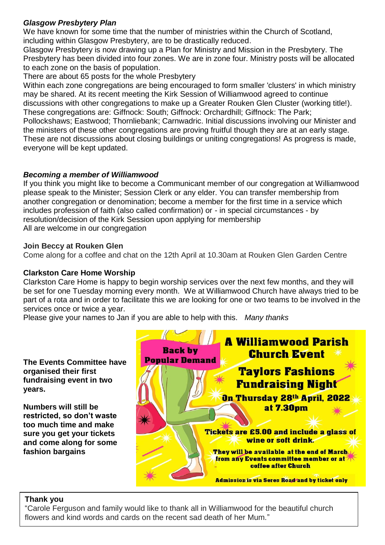## *Glasgow Presbytery Plan*

We have known for some time that the number of ministries within the Church of Scotland, including within Glasgow Presbytery, are to be drastically reduced.

Glasgow Presbytery is now drawing up a Plan for Ministry and Mission in the Presbytery. The Presbytery has been divided into four zones. We are in zone four. Ministry posts will be allocated to each zone on the basis of population.

There are about 65 posts for the whole Presbytery

Within each zone congregations are being encouraged to form smaller 'clusters' in which ministry may be shared. At its recent meeting the Kirk Session of Williamwood agreed to continue discussions with other congregations to make up a Greater Rouken Glen Cluster (working title!). These congregations are: Giffnock: South; Giffnock: Orchardhill; Giffnock: The Park; Pollockshaws; Eastwood; Thornliebank; Carnwadric. Initial discussions involving our Minister and the ministers of these other congregations are proving fruitful though they are at an early stage. These are not discussions about closing buildings or uniting congregations! As progress is made, everyone will be kept updated.

## *Becoming a member of Williamwood*

If you think you might like to become a Communicant member of our congregation at Williamwood please speak to the Minister; Session Clerk or any elder. You can transfer membership from another congregation or denomination; become a member for the first time in a service which includes profession of faith (also called confirmation) or - in special circumstances - by resolution/decision of the Kirk Session upon applying for membership All are welcome in our congregation

### **Join Beccy at Rouken Glen**

Come along for a coffee and chat on the 12th April at 10.30am at Rouken Glen Garden Centre

#### **Clarkston Care Home Worship**

Clarkston Care Home is happy to begin worship services over the next few months, and they will be set for one Tuesday morning every month. We at Williamwood Church have always tried to be part of a rota and in order to facilitate this we are looking for one or two teams to be involved in the services once or twice a year.

Please give your names to Jan if you are able to help with this. *Many thanks*

**The Events Committee have organised their first fundraising event in two years.**

**Numbers will still be restricted, so don't waste too much time and make sure you get your tickets and come along for some fashion bargains**



## **Thank you**

"Carole Ferguson and family would like to thank all in Williamwood for the beautiful church flowers and kind words and cards on the recent sad death of her Mum."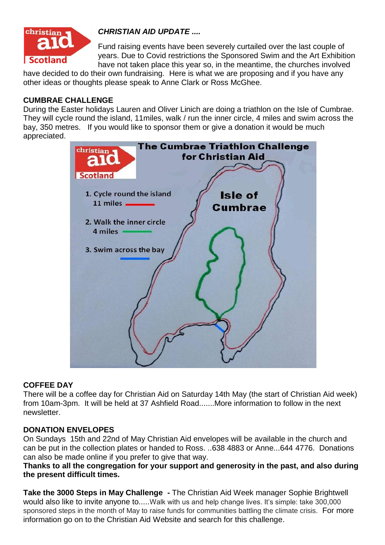

## *CHRISTIAN AID UPDATE ....*

Fund raising events have been severely curtailed over the last couple of years. Due to Covid restrictions the Sponsored Swim and the Art Exhibition have not taken place this year so, in the meantime, the churches involved

have decided to do their own fundraising. Here is what we are proposing and if you have any other ideas or thoughts please speak to Anne Clark or Ross McGhee.

### **CUMBRAE CHALLENGE**

During the Easter holidays Lauren and Oliver Linich are doing a triathlon on the Isle of Cumbrae. They will cycle round the island, 11miles, walk / run the inner circle, 4 miles and swim across the bay, 350 metres. If you would like to sponsor them or give a donation it would be much appreciated.



#### **COFFEE DAY**

There will be a coffee day for Christian Aid on Saturday 14th May (the start of Christian Aid week) from 10am-3pm. It will be held at 37 Ashfield Road.......More information to follow in the next newsletter.

#### **DONATION ENVELOPES**

On Sundays 15th and 22nd of May Christian Aid envelopes will be available in the church and can be put in the collection plates or handed to Ross. ..638 4883 or Anne...644 4776. Donations can also be made online if you prefer to give that way.

### **Thanks to all the congregation for your support and generosity in the past, and also during the present difficult times.**

**Take the 3000 Steps in May Challenge -** The Christian Aid Week manager Sophie Brightwell would also like to invite anyone to.....Walk with us and help change lives. It's simple: take 300,000 sponsored steps in the month of May to raise funds for communities battling the climate crisis. For more information go on to the Christian Aid Website and search for this challenge.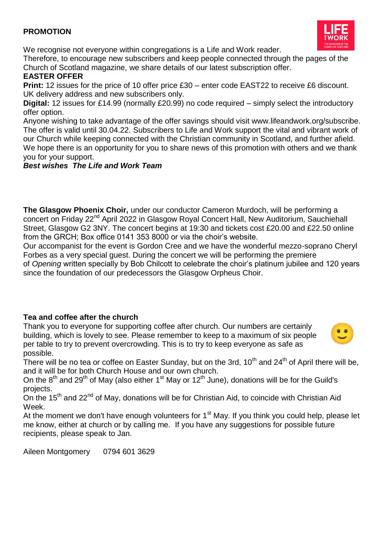## **PROMOTION**



We recognise not everyone within congregations is a Life and Work reader.

Therefore, to encourage new subscribers and keep people connected through the pages of the Church of Scotland magazine, we share details of our latest subscription offer.

## **EASTER OFFER**

**Print:** 12 issues for the price of 10 offer price £30 – enter code EAST22 to receive £6 discount. UK delivery address and new subscribers only.

**Digital:** 12 issues for £14.99 (normally £20.99) no code required – simply select the introductory offer option.

Anyone wishing to take advantage of the offer savings should visit www.lifeandwork.org/subscribe. The offer is valid until 30.04.22. Subscribers to Life and Work support the vital and vibrant work of our Church while keeping connected with the Christian community in Scotland, and further afield. We hope there is an opportunity for you to share news of this promotion with others and we thank you for your support.

## *Best wishes The Life and Work Team*

**The Glasgow Phoenix Choir,** under our conductor Cameron Murdoch, will be performing a concert on Friday 22<sup>nd</sup> April 2022 in Glasgow Royal Concert Hall, New Auditorium, Sauchiehall Street, Glasgow G2 3NY. The concert begins at 19:30 and tickets cost £20.00 and £22.50 online from the GRCH; Box office 0141 353 8000 or via the choir's website.

Our accompanist for the event is Gordon Cree and we have the wonderful mezzo-soprano Cheryl Forbes as a very special guest. During the concert we will be performing the premiere

of *Opening* written specially by Bob Chilcott to celebrate the choir's platinum jubilee and 120 years since the foundation of our predecessors the Glasgow Orpheus Choir.

## **Tea and coffee after the church**

Thank you to everyone for supporting coffee after church. Our numbers are certainly building, which is lovely to see. Please remember to keep to a maximum of six people per table to try to prevent overcrowding. This is to try to keep everyone as safe as possible.



There will be no tea or coffee on Easter Sunday, but on the 3rd,  $10^{th}$  and  $24^{th}$  of April there will be. and it will be for both Church House and our own church.

On the  $8<sup>th</sup>$  and 29<sup>th</sup> of May (also either 1<sup>st</sup> May or 12<sup>th</sup> June), donations will be for the Guild's projects.

On the 15th and 22nd of May, donations will be for Christian Aid, to coincide with Christian Aid Week.

At the moment we don't have enough volunteers for  $1<sup>st</sup>$  May. If you think you could help, please let me know, either at church or by calling me. If you have any suggestions for possible future recipients, please speak to Jan.

Aileen Montgomery 0794 601 3629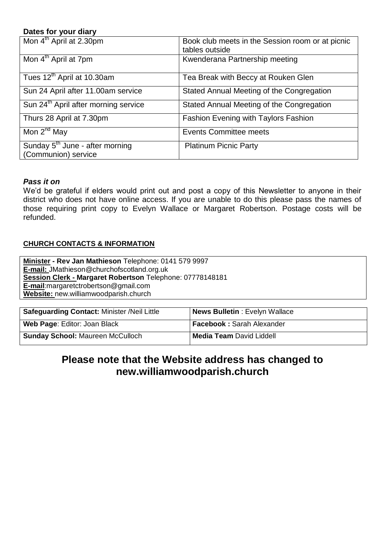### **Dates for your diary**

| Mon 4 <sup>th</sup> April at 2.30pm                                | Book club meets in the Session room or at picnic<br>tables outside |
|--------------------------------------------------------------------|--------------------------------------------------------------------|
| Mon 4 <sup>th</sup> April at 7pm                                   | Kwenderana Partnership meeting                                     |
| Tues 12 <sup>th</sup> April at 10.30am                             | Tea Break with Beccy at Rouken Glen                                |
| Sun 24 April after 11.00am service                                 | Stated Annual Meeting of the Congregation                          |
| Sun 24 <sup>th</sup> April after morning service                   | Stated Annual Meeting of the Congregation                          |
| Thurs 28 April at 7.30pm                                           | <b>Fashion Evening with Taylors Fashion</b>                        |
| Mon 2 <sup>nd</sup> May                                            | <b>Events Committee meets</b>                                      |
| Sunday 5 <sup>th</sup> June - after morning<br>(Communion) service | <b>Platinum Picnic Party</b>                                       |

### *Pass it on*

We'd be grateful if elders would print out and post a copy of this Newsletter to anyone in their district who does not have online access. If you are unable to do this please pass the names of those requiring print copy to Evelyn Wallace or Margaret Robertson. Postage costs will be refunded.

### **CHURCH CONTACTS & INFORMATION**

| Minister - Rev Jan Mathieson Telephone: 0141 579 9997     |
|-----------------------------------------------------------|
| E-mail: JMathieson@churchofscotland.org.uk                |
| Session Clerk - Margaret Robertson Telephone: 07778148181 |
| $E$ -mail: margaret ctroberts on @gmail.com               |
| Website: new.williamwoodparish.church                     |

| <b>Safeguarding Contact: Minister /Neil Little</b> | News Bulletin: Evelyn Wallace    |
|----------------------------------------------------|----------------------------------|
| Web Page: Editor: Joan Black                       | <b>Facebook: Sarah Alexander</b> |
| <b>Sunday School: Maureen McCulloch</b>            | <b>Media Team David Liddell</b>  |

## **Please note that the Website address has changed to new.williamwoodparish.church**